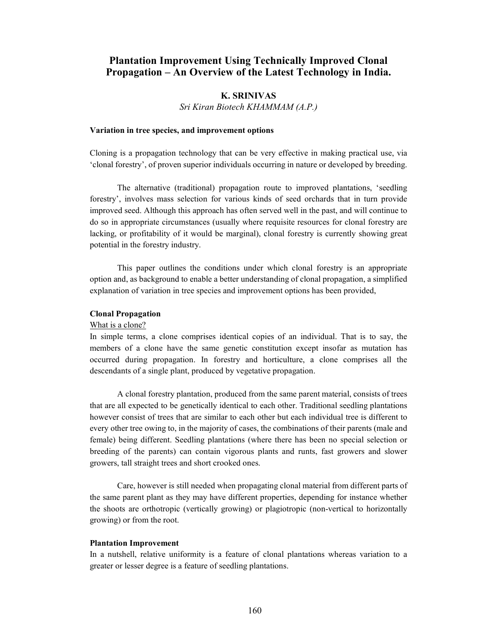# Plantation Improvement Using Technically Improved Clonal Propagation – An Overview of the Latest Technology in India.

# K. SRINIVAS

Sri Kiran Biotech KHAMMAM (A.P.)

## Variation in tree species, and improvement options

Cloning is a propagation technology that can be very effective in making practical use, via 'clonal forestry', of proven superior individuals occurring in nature or developed by breeding.

The alternative (traditional) propagation route to improved plantations, 'seedling forestry', involves mass selection for various kinds of seed orchards that in turn provide improved seed. Although this approach has often served well in the past, and will continue to do so in appropriate circumstances (usually where requisite resources for clonal forestry are lacking, or profitability of it would be marginal), clonal forestry is currently showing great potential in the forestry industry.

This paper outlines the conditions under which clonal forestry is an appropriate option and, as background to enable a better understanding of clonal propagation, a simplified explanation of variation in tree species and improvement options has been provided,

## Clonal Propagation

## What is a clone?

In simple terms, a clone comprises identical copies of an individual. That is to say, the members of a clone have the same genetic constitution except insofar as mutation has occurred during propagation. In forestry and horticulture, a clone comprises all the descendants of a single plant, produced by vegetative propagation.

A clonal forestry plantation, produced from the same parent material, consists of trees that are all expected to be genetically identical to each other. Traditional seedling plantations however consist of trees that are similar to each other but each individual tree is different to every other tree owing to, in the majority of cases, the combinations of their parents (male and female) being different. Seedling plantations (where there has been no special selection or breeding of the parents) can contain vigorous plants and runts, fast growers and slower growers, tall straight trees and short crooked ones.

Care, however is still needed when propagating clonal material from different parts of the same parent plant as they may have different properties, depending for instance whether the shoots are orthotropic (vertically growing) or plagiotropic (non-vertical to horizontally growing) or from the root.

# Plantation Improvement

In a nutshell, relative uniformity is a feature of clonal plantations whereas variation to a greater or lesser degree is a feature of seedling plantations.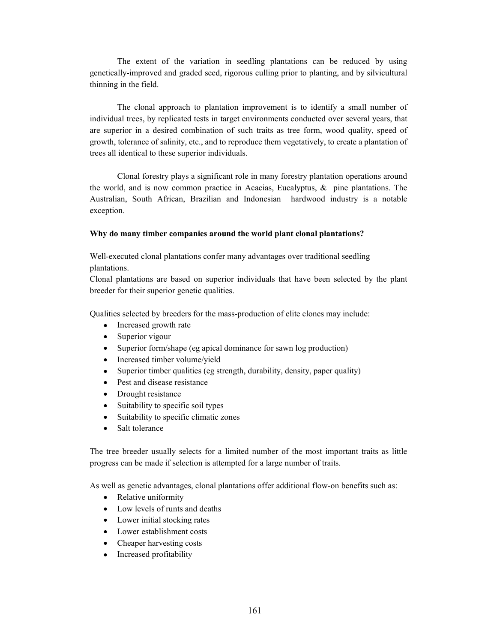The extent of the variation in seedling plantations can be reduced by using genetically-improved and graded seed, rigorous culling prior to planting, and by silvicultural thinning in the field.

The clonal approach to plantation improvement is to identify a small number of individual trees, by replicated tests in target environments conducted over several years, that are superior in a desired combination of such traits as tree form, wood quality, speed of growth, tolerance of salinity, etc., and to reproduce them vegetatively, to create a plantation of trees all identical to these superior individuals.

Clonal forestry plays a significant role in many forestry plantation operations around the world, and is now common practice in Acacias, Eucalyptus,  $\&$  pine plantations. The Australian, South African, Brazilian and Indonesian hardwood industry is a notable exception.

### Why do many timber companies around the world plant clonal plantations?

Well-executed clonal plantations confer many advantages over traditional seedling plantations.

Clonal plantations are based on superior individuals that have been selected by the plant breeder for their superior genetic qualities.

Qualities selected by breeders for the mass-production of elite clones may include:

- Increased growth rate
- Superior vigour
- Superior form/shape (eg apical dominance for sawn log production)
- Increased timber volume/yield
- Superior timber qualities (eg strength, durability, density, paper quality)
- Pest and disease resistance
- Drought resistance
- Suitability to specific soil types
- Suitability to specific climatic zones
- Salt tolerance

The tree breeder usually selects for a limited number of the most important traits as little progress can be made if selection is attempted for a large number of traits.

As well as genetic advantages, clonal plantations offer additional flow-on benefits such as:

- Relative uniformity
- Low levels of runts and deaths
- Lower initial stocking rates
- Lower establishment costs
- Cheaper harvesting costs
- Increased profitability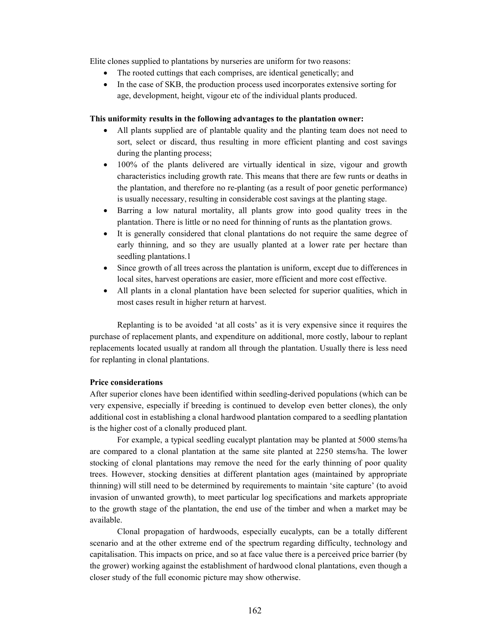Elite clones supplied to plantations by nurseries are uniform for two reasons:

- The rooted cuttings that each comprises, are identical genetically; and
- In the case of SKB, the production process used incorporates extensive sorting for age, development, height, vigour etc of the individual plants produced.

## This uniformity results in the following advantages to the plantation owner:

- All plants supplied are of plantable quality and the planting team does not need to sort, select or discard, thus resulting in more efficient planting and cost savings during the planting process;
- 100% of the plants delivered are virtually identical in size, vigour and growth characteristics including growth rate. This means that there are few runts or deaths in the plantation, and therefore no re-planting (as a result of poor genetic performance) is usually necessary, resulting in considerable cost savings at the planting stage.
- Barring a low natural mortality, all plants grow into good quality trees in the plantation. There is little or no need for thinning of runts as the plantation grows.
- It is generally considered that clonal plantations do not require the same degree of early thinning, and so they are usually planted at a lower rate per hectare than seedling plantations.1
- Since growth of all trees across the plantation is uniform, except due to differences in local sites, harvest operations are easier, more efficient and more cost effective.
- All plants in a clonal plantation have been selected for superior qualities, which in most cases result in higher return at harvest.

Replanting is to be avoided 'at all costs' as it is very expensive since it requires the purchase of replacement plants, and expenditure on additional, more costly, labour to replant replacements located usually at random all through the plantation. Usually there is less need for replanting in clonal plantations.

## Price considerations

After superior clones have been identified within seedling-derived populations (which can be very expensive, especially if breeding is continued to develop even better clones), the only additional cost in establishing a clonal hardwood plantation compared to a seedling plantation is the higher cost of a clonally produced plant.

For example, a typical seedling eucalypt plantation may be planted at 5000 stems/ha are compared to a clonal plantation at the same site planted at 2250 stems/ha. The lower stocking of clonal plantations may remove the need for the early thinning of poor quality trees. However, stocking densities at different plantation ages (maintained by appropriate thinning) will still need to be determined by requirements to maintain 'site capture' (to avoid invasion of unwanted growth), to meet particular log specifications and markets appropriate to the growth stage of the plantation, the end use of the timber and when a market may be available.

Clonal propagation of hardwoods, especially eucalypts, can be a totally different scenario and at the other extreme end of the spectrum regarding difficulty, technology and capitalisation. This impacts on price, and so at face value there is a perceived price barrier (by the grower) working against the establishment of hardwood clonal plantations, even though a closer study of the full economic picture may show otherwise.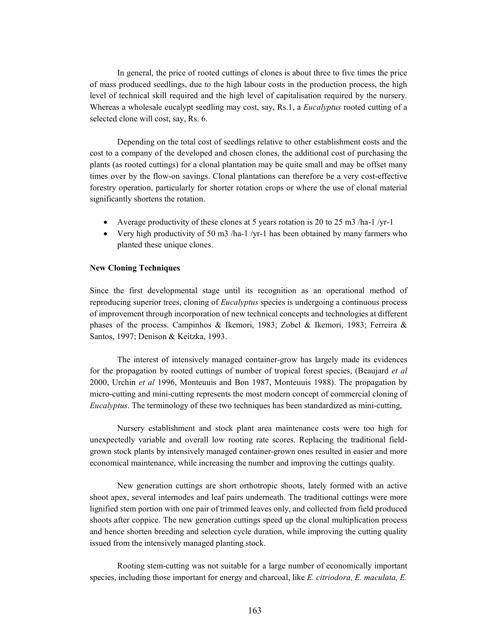In general, the price of rooted cuttings of clones is about three to five times the price of mass produced seedlings, due to the high labour costs in the production process, the high level of technical skill required and the high level of capitalisation required by the nursery. Whereas a wholesale eucalypt seedling may cost, say, Rs.1, a *Eucalyptus* rooted cutting of a selected clone will cost, say, Rs. 6.

Depending on the total cost of seedlings relative to other establishment costs and the cost to a company of the developed and chosen clones, the additional cost of purchasing the plants (as rooted cuttings) for a clonal plantation may be quite small and may be offset many times over by the flow-on savings. Clonal plantations can therefore be a very cost-effective forestry operation, particularly for shorter rotation crops or where the use of clonal material significantly shortens the rotation.

- Average productivity of these clones at 5 years rotation is 20 to 25 m3 /ha-1 /yr-1
- Very high productivity of 50 m3 /ha-1 /yr-1 has been obtained by many farmers who planted these unique clones.

## New Cloning Techniques

Since the first developmental stage until its recognition as an operational method of reproducing superior trees, cloning of *Eucalyptus* species is undergoing a continuous process of improvement through incorporation of new technical concepts and technologies at different phases of the process. Campinhos & Ikemori, 1983; Zobel & Ikemori, 1983; Ferreira & Santos, 1997; Denison & Keitzka, 1993.

The interest of intensively managed container-grow has largely made its evidences for the propagation by rooted cuttings of number of tropical forest species, (Beaujard et al. 2000, Urchin et al 1996, Monteuuis and Bon 1987, Monteuuis 1988). The propagation by micro-cutting and mini-cutting represents the most modern concept of commercial cloning of Eucalyptus. The terminology of these two techniques has been standardized as mini-cutting,

Nursery establishment and stock plant area maintenance costs were too high for unexpectedly variable and overall low rooting rate scores. Replacing the traditional fieldgrown stock plants by intensively managed container-grown ones resulted in easier and more economical maintenance, while increasing the number and improving the cuttings quality.

New generation cuttings are short orthotropic shoots, lately formed with an active shoot apex, several internodes and leaf pairs underneath. The traditional cuttings were more lignified stem portion with one pair of trimmed leaves only, and collected from field produced shoots after coppice. The new generation cuttings speed up the clonal multiplication process and hence shorten breeding and selection cycle duration, while improving the cutting quality issued from the intensively managed planting stock.

Rooting stem-cutting was not suitable for a large number of economically important species, including those important for energy and charcoal, like E. citriodora, E. maculata, E.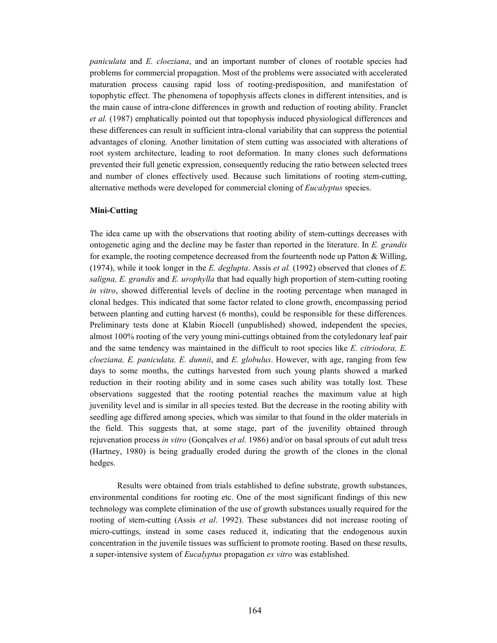paniculata and E. cloeziana, and an important number of clones of rootable species had problems for commercial propagation. Most of the problems were associated with accelerated maturation process causing rapid loss of rooting-predisposition, and manifestation of topophytic effect. The phenomena of topophysis affects clones in different intensities, and is the main cause of intra-clone differences in growth and reduction of rooting ability. Franclet et al. (1987) emphatically pointed out that topophysis induced physiological differences and these differences can result in sufficient intra-clonal variability that can suppress the potential advantages of cloning. Another limitation of stem cutting was associated with alterations of root system architecture, leading to root deformation. In many clones such deformations prevented their full genetic expression, consequently reducing the ratio between selected trees and number of clones effectively used. Because such limitations of rooting stem-cutting, alternative methods were developed for commercial cloning of *Eucalyptus* species.

## Mini-Cutting

The idea came up with the observations that rooting ability of stem-cuttings decreases with ontogenetic aging and the decline may be faster than reported in the literature. In E. grandis for example, the rooting competence decreased from the fourteenth node up Patton  $\&$  Willing, (1974), while it took longer in the E. deglupta. Assis et al. (1992) observed that clones of E. saligna, E. grandis and E. urophylla that had equally high proportion of stem-cutting rooting in vitro, showed differential levels of decline in the rooting percentage when managed in clonal hedges. This indicated that some factor related to clone growth, encompassing period between planting and cutting harvest (6 months), could be responsible for these differences. Preliminary tests done at Klabin Riocell (unpublished) showed, independent the species, almost 100% rooting of the very young mini-cuttings obtained from the cotyledonary leaf pair and the same tendency was maintained in the difficult to root species like  $E$ . *citriodora*,  $E$ .  $c$ loeziana, E. paniculata, E. dunnii, and E. globulus. However, with age, ranging from few days to some months, the cuttings harvested from such young plants showed a marked reduction in their rooting ability and in some cases such ability was totally lost. These observations suggested that the rooting potential reaches the maximum value at high juvenility level and is similar in all species tested. But the decrease in the rooting ability with seedling age differed among species, which was similar to that found in the older materials in the field. This suggests that, at some stage, part of the juvenility obtained through rejuvenation process in vitro (Gonçalves et al. 1986) and/or on basal sprouts of cut adult tress (Hartney, 1980) is being gradually eroded during the growth of the clones in the clonal hedges.

Results were obtained from trials established to define substrate, growth substances, environmental conditions for rooting etc. One of the most significant findings of this new technology was complete elimination of the use of growth substances usually required for the rooting of stem-cutting (Assis et al. 1992). These substances did not increase rooting of micro-cuttings, instead in some cases reduced it, indicating that the endogenous auxin concentration in the juvenile tissues was sufficient to promote rooting. Based on these results, a super-intensive system of Eucalyptus propagation ex vitro was established.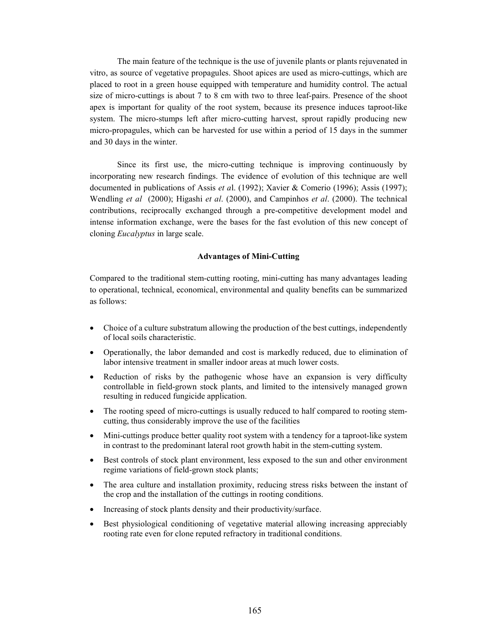The main feature of the technique is the use of juvenile plants or plants rejuvenated in vitro, as source of vegetative propagules. Shoot apices are used as micro-cuttings, which are placed to root in a green house equipped with temperature and humidity control. The actual size of micro-cuttings is about 7 to 8 cm with two to three leaf-pairs. Presence of the shoot apex is important for quality of the root system, because its presence induces taproot-like system. The micro-stumps left after micro-cutting harvest, sprout rapidly producing new micro-propagules, which can be harvested for use within a period of 15 days in the summer and 30 days in the winter.

Since its first use, the micro-cutting technique is improving continuously by incorporating new research findings. The evidence of evolution of this technique are well documented in publications of Assis et al. (1992); Xavier & Comerio (1996); Assis (1997); Wendling et al (2000); Higashi et al. (2000), and Campinhos et al. (2000). The technical contributions, reciprocally exchanged through a pre-competitive development model and intense information exchange, were the bases for the fast evolution of this new concept of cloning Eucalyptus in large scale.

### Advantages of Mini-Cutting

Compared to the traditional stem-cutting rooting, mini-cutting has many advantages leading to operational, technical, economical, environmental and quality benefits can be summarized as follows:

- Choice of a culture substratum allowing the production of the best cuttings, independently of local soils characteristic.
- Operationally, the labor demanded and cost is markedly reduced, due to elimination of labor intensive treatment in smaller indoor areas at much lower costs.
- Reduction of risks by the pathogenic whose have an expansion is very difficulty controllable in field-grown stock plants, and limited to the intensively managed grown resulting in reduced fungicide application.
- The rooting speed of micro-cuttings is usually reduced to half compared to rooting stemcutting, thus considerably improve the use of the facilities
- Mini-cuttings produce better quality root system with a tendency for a taproot-like system in contrast to the predominant lateral root growth habit in the stem-cutting system.
- Best controls of stock plant environment, less exposed to the sun and other environment regime variations of field-grown stock plants;
- The area culture and installation proximity, reducing stress risks between the instant of the crop and the installation of the cuttings in rooting conditions.
- Increasing of stock plants density and their productivity/surface.
- Best physiological conditioning of vegetative material allowing increasing appreciably rooting rate even for clone reputed refractory in traditional conditions.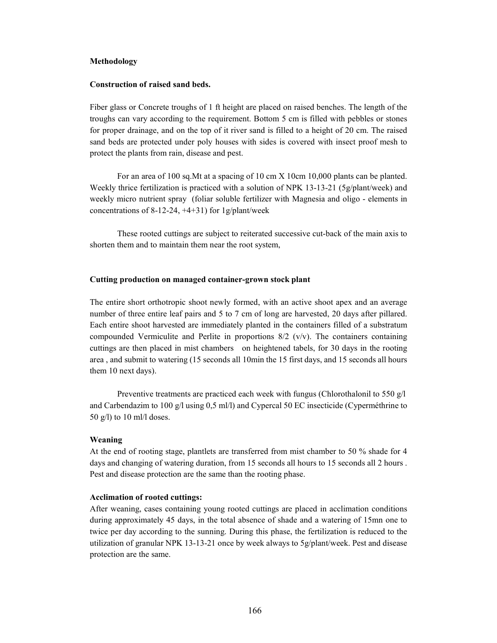#### Methodology

## Construction of raised sand beds.

Fiber glass or Concrete troughs of 1 ft height are placed on raised benches. The length of the troughs can vary according to the requirement. Bottom 5 cm is filled with pebbles or stones for proper drainage, and on the top of it river sand is filled to a height of 20 cm. The raised sand beds are protected under poly houses with sides is covered with insect proof mesh to protect the plants from rain, disease and pest.

For an area of 100 sq.Mt at a spacing of 10 cm X 10cm 10,000 plants can be planted. Weekly thrice fertilization is practiced with a solution of NPK 13-13-21 (5g/plant/week) and weekly micro nutrient spray (foliar soluble fertilizer with Magnesia and oligo - elements in concentrations of 8-12-24, +4+31) for 1g/plant/week

These rooted cuttings are subject to reiterated successive cut-back of the main axis to shorten them and to maintain them near the root system,

#### Cutting production on managed container-grown stock plant

The entire short orthotropic shoot newly formed, with an active shoot apex and an average number of three entire leaf pairs and 5 to 7 cm of long are harvested, 20 days after pillared. Each entire shoot harvested are immediately planted in the containers filled of a substratum compounded Vermiculite and Perlite in proportions  $8/2$  (v/v). The containers containing cuttings are then placed in mist chambers on heightened tabels, for 30 days in the rooting area , and submit to watering (15 seconds all 10min the 15 first days, and 15 seconds all hours them 10 next days).

Preventive treatments are practiced each week with fungus (Chlorothalonil to 550 g/l and Carbendazim to 100 g/l using 0,5 ml/l) and Cypercal 50 EC insecticide (Cyperméthrine to 50 g/l) to 10 ml/l doses.

#### Weaning

At the end of rooting stage, plantlets are transferred from mist chamber to 50 % shade for 4 days and changing of watering duration, from 15 seconds all hours to 15 seconds all 2 hours. Pest and disease protection are the same than the rooting phase.

#### Acclimation of rooted cuttings:

After weaning, cases containing young rooted cuttings are placed in acclimation conditions during approximately 45 days, in the total absence of shade and a watering of 15mn one to twice per day according to the sunning. During this phase, the fertilization is reduced to the utilization of granular NPK 13-13-21 once by week always to 5g/plant/week. Pest and disease protection are the same.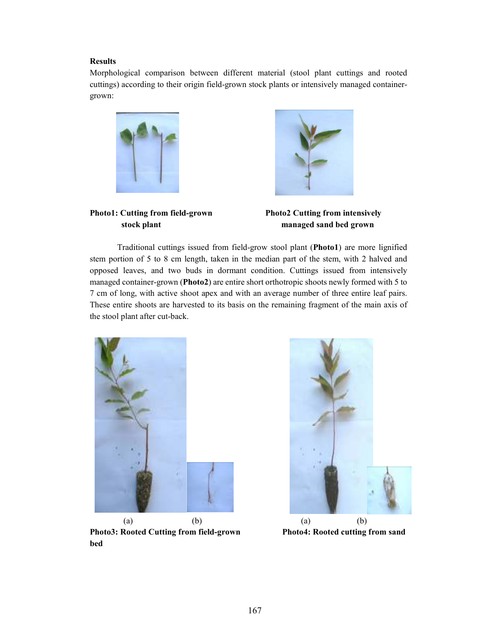# Results

Morphological comparison between different material (stool plant cuttings and rooted cuttings) according to their origin field-grown stock plants or intensively managed containergrown:



Photo1: Cutting from field-grown Photo2 Cutting from intensively



stock plant managed sand bed grown

Traditional cuttings issued from field-grow stool plant (Photo1) are more lignified stem portion of 5 to 8 cm length, taken in the median part of the stem, with 2 halved and opposed leaves, and two buds in dormant condition. Cuttings issued from intensively managed container-grown (Photo2) are entire short orthotropic shoots newly formed with 5 to 7 cm of long, with active shoot apex and with an average number of three entire leaf pairs. These entire shoots are harvested to its basis on the remaining fragment of the main axis of the stool plant after cut-back.



(a) (b) (a) (b) Photo3: Rooted Cutting from field-grown Photo4: Rooted cutting from sand bed

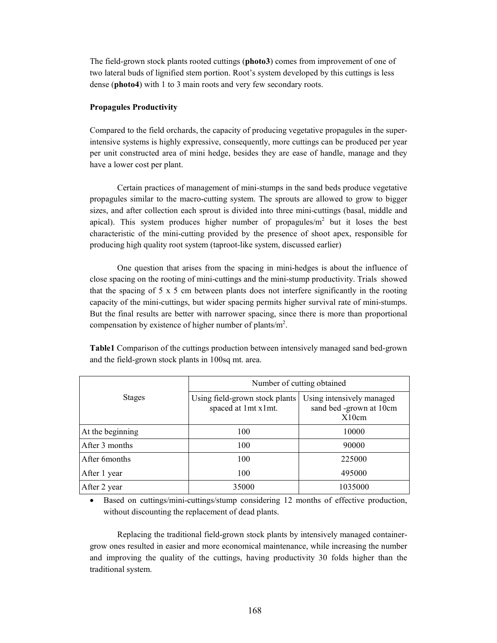The field-grown stock plants rooted cuttings (photo3) comes from improvement of one of two lateral buds of lignified stem portion. Root's system developed by this cuttings is less dense (photo4) with 1 to 3 main roots and very few secondary roots.

# Propagules Productivity

Compared to the field orchards, the capacity of producing vegetative propagules in the superintensive systems is highly expressive, consequently, more cuttings can be produced per year per unit constructed area of mini hedge, besides they are ease of handle, manage and they have a lower cost per plant.

Certain practices of management of mini-stumps in the sand beds produce vegetative propagules similar to the macro-cutting system. The sprouts are allowed to grow to bigger sizes, and after collection each sprout is divided into three mini-cuttings (basal, middle and apical). This system produces higher number of propagules/ $m<sup>2</sup>$  but it loses the best characteristic of the mini-cutting provided by the presence of shoot apex, responsible for producing high quality root system (taproot-like system, discussed earlier)

One question that arises from the spacing in mini-hedges is about the influence of close spacing on the rooting of mini-cuttings and the mini-stump productivity. Trials showed that the spacing of 5 x 5 cm between plants does not interfere significantly in the rooting capacity of the mini-cuttings, but wider spacing permits higher survival rate of mini-stumps. But the final results are better with narrower spacing, since there is more than proportional compensation by existence of higher number of plants/ $m^2$ .

| <b>Table1</b> Comparison of the cuttings production between intensively managed sand bed-grown |
|------------------------------------------------------------------------------------------------|
| and the field-grown stock plants in 100sq mt. area.                                            |

|                  | Number of cutting obtained                            |                                                               |
|------------------|-------------------------------------------------------|---------------------------------------------------------------|
| <b>Stages</b>    | Using field-grown stock plants<br>spaced at 1mt x1mt. | Using intensively managed<br>sand bed -grown at 10cm<br>X10cm |
| At the beginning | 100                                                   | 10000                                                         |
| After 3 months   | 100                                                   | 90000                                                         |
| After 6 months   | 100                                                   | 225000                                                        |
| After 1 year     | 100                                                   | 495000                                                        |
| After 2 year     | 35000                                                 | 1035000                                                       |

• Based on cuttings/mini-cuttings/stump considering 12 months of effective production, without discounting the replacement of dead plants.

Replacing the traditional field-grown stock plants by intensively managed containergrow ones resulted in easier and more economical maintenance, while increasing the number and improving the quality of the cuttings, having productivity 30 folds higher than the traditional system.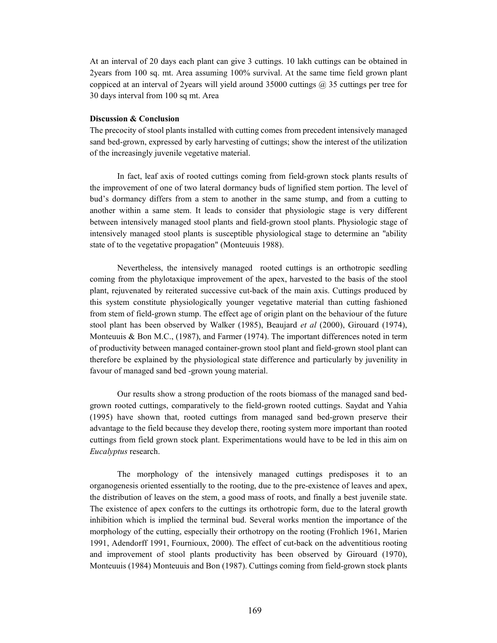At an interval of 20 days each plant can give 3 cuttings. 10 lakh cuttings can be obtained in 2years from 100 sq. mt. Area assuming 100% survival. At the same time field grown plant coppiced at an interval of 2years will yield around 35000 cuttings @ 35 cuttings per tree for 30 days interval from 100 sq mt. Area

## Discussion & Conclusion

The precocity of stool plants installed with cutting comes from precedent intensively managed sand bed-grown, expressed by early harvesting of cuttings; show the interest of the utilization of the increasingly juvenile vegetative material.

In fact, leaf axis of rooted cuttings coming from field-grown stock plants results of the improvement of one of two lateral dormancy buds of lignified stem portion. The level of bud's dormancy differs from a stem to another in the same stump, and from a cutting to another within a same stem. It leads to consider that physiologic stage is very different between intensively managed stool plants and field-grown stool plants. Physiologic stage of intensively managed stool plants is susceptible physiological stage to determine an "ability state of to the vegetative propagation" (Monteuuis 1988).

Nevertheless, the intensively managed rooted cuttings is an orthotropic seedling coming from the phylotaxique improvement of the apex, harvested to the basis of the stool plant, rejuvenated by reiterated successive cut-back of the main axis. Cuttings produced by this system constitute physiologically younger vegetative material than cutting fashioned from stem of field-grown stump. The effect age of origin plant on the behaviour of the future stool plant has been observed by Walker (1985), Beaujard et al (2000), Girouard (1974), Monteuuis & Bon M.C.,  $(1987)$ , and Farmer (1974). The important differences noted in term of productivity between managed container-grown stool plant and field-grown stool plant can therefore be explained by the physiological state difference and particularly by juvenility in favour of managed sand bed -grown young material.

Our results show a strong production of the roots biomass of the managed sand bedgrown rooted cuttings, comparatively to the field-grown rooted cuttings. Saydat and Yahia (1995) have shown that, rooted cuttings from managed sand bed-grown preserve their advantage to the field because they develop there, rooting system more important than rooted cuttings from field grown stock plant. Experimentations would have to be led in this aim on Eucalyptus research.

The morphology of the intensively managed cuttings predisposes it to an organogenesis oriented essentially to the rooting, due to the pre-existence of leaves and apex, the distribution of leaves on the stem, a good mass of roots, and finally a best juvenile state. The existence of apex confers to the cuttings its orthotropic form, due to the lateral growth inhibition which is implied the terminal bud. Several works mention the importance of the morphology of the cutting, especially their orthotropy on the rooting (Frohlich 1961, Marien 1991, Adendorff 1991, Fournioux, 2000). The effect of cut-back on the adventitious rooting and improvement of stool plants productivity has been observed by Girouard (1970), Monteuuis (1984) Monteuuis and Bon (1987). Cuttings coming from field-grown stock plants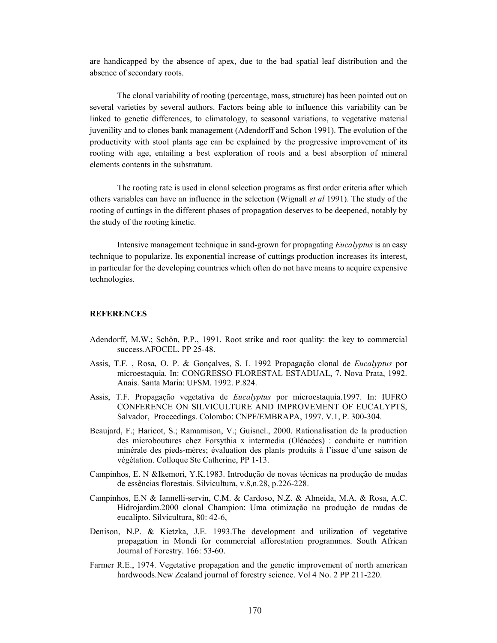are handicapped by the absence of apex, due to the bad spatial leaf distribution and the absence of secondary roots.

The clonal variability of rooting (percentage, mass, structure) has been pointed out on several varieties by several authors. Factors being able to influence this variability can be linked to genetic differences, to climatology, to seasonal variations, to vegetative material juvenility and to clones bank management (Adendorff and Schon 1991). The evolution of the productivity with stool plants age can be explained by the progressive improvement of its rooting with age, entailing a best exploration of roots and a best absorption of mineral elements contents in the substratum.

The rooting rate is used in clonal selection programs as first order criteria after which others variables can have an influence in the selection (Wignall et al 1991). The study of the rooting of cuttings in the different phases of propagation deserves to be deepened, notably by the study of the rooting kinetic.

Intensive management technique in sand-grown for propagating *Eucalyptus* is an easy technique to popularize. Its exponential increase of cuttings production increases its interest, in particular for the developing countries which often do not have means to acquire expensive technologies.

# **REFERENCES**

- Adendorff, M.W.; Schön, P.P., 1991. Root strike and root quality: the key to commercial success.AFOCEL. PP 25-48.
- Assis, T.F. , Rosa, O. P. & Gonçalves, S. I. 1992 Propagação clonal de Eucalyptus por microestaquia. In: CONGRESSO FLORESTAL ESTADUAL, 7. Nova Prata, 1992. Anais. Santa Maria: UFSM. 1992. P.824.
- Assis, T.F. Propagação vegetativa de Eucalyptus por microestaquia.1997. In: IUFRO CONFERENCE ON SILVICULTURE AND IMPROVEMENT OF EUCALYPTS, Salvador, Proceedings. Colombo: CNPF/EMBRAPA, 1997. V.1, P. 300-304.
- Beaujard, F.; Haricot, S.; Ramamison, V.; Guisnel., 2000. Rationalisation de la production des microboutures chez Forsythia x intermedia (Oléacées) : conduite et nutrition minérale des pieds-mères; évaluation des plants produits à l'issue d'une saison de végétation. Colloque Ste Catherine, PP 1-13.
- Campinhos, E. N &Ikemori, Y.K.1983. Introdução de novas técnicas na produção de mudas de essências florestais. Silvicultura, v.8,n.28, p.226-228.
- Campinhos, E.N & Iannelli-servin, C.M. & Cardoso, N.Z. & Almeida, M.A. & Rosa, A.C. Hidrojardim.2000 clonal Champion: Uma otimização na produção de mudas de eucalipto. Silvicultura, 80: 42-6,
- Denison, N.P. & Kietzka, J.E. 1993.The development and utilization of vegetative propagation in Mondi for commercial afforestation programmes. South African Journal of Forestry. 166: 53-60.
- Farmer R.E., 1974. Vegetative propagation and the genetic improvement of north american hardwoods.New Zealand journal of forestry science. Vol 4 No. 2 PP 211-220.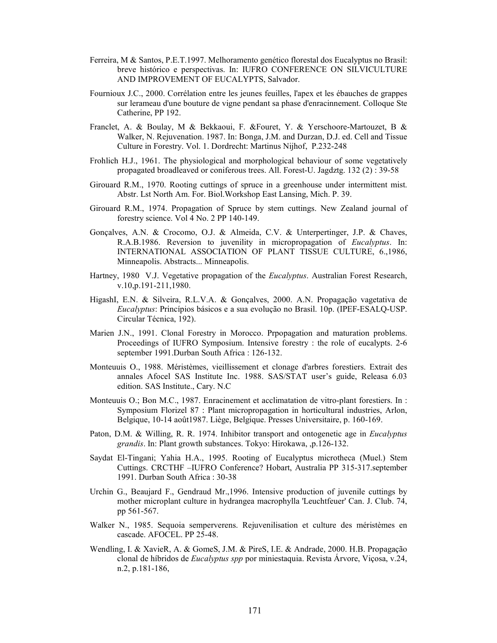- Ferreira, M & Santos, P.E.T.1997. Melhoramento genético florestal dos Eucalyptus no Brasil: breve histórico e perspectivas. In: IUFRO CONFERENCE ON SILVICULTURE AND IMPROVEMENT OF EUCALYPTS, Salvador.
- Fournioux J.C., 2000. Corrélation entre les jeunes feuilles, l'apex et les ébauches de grappes sur lerameau d'une bouture de vigne pendant sa phase d'enracinnement. Colloque Ste Catherine, PP 192.
- Franclet, A. & Boulay, M & Bekkaoui, F. &Fouret, Y. & Yerschoore-Martouzet, B & Walker, N. Rejuvenation. 1987. In: Bonga, J.M. and Durzan, D.J. ed. Cell and Tissue Culture in Forestry. Vol. 1. Dordrecht: Martinus Nijhof, P.232-248
- Frohlich H.J., 1961. The physiological and morphological behaviour of some vegetatively propagated broadleaved or coniferous trees. All. Forest-U. Jagdztg. 132 (2) : 39-58
- Girouard R.M., 1970. Rooting cuttings of spruce in a greenhouse under intermittent mist. Abstr. Lst North Am. For. Biol.Workshop East Lansing, Mich. P. 39.
- Girouard R.M., 1974. Propagation of Spruce by stem cuttings. New Zealand journal of forestry science. Vol 4 No. 2 PP 140-149.
- Gonçalves, A.N. & Crocomo, O.J. & Almeida, C.V. & Unterpertinger, J.P. & Chaves, R.A.B.1986. Reversion to juvenility in micropropagation of *Eucalyptus*. In: INTERNATIONAL ASSOCIATION OF PLANT TISSUE CULTURE, 6.,1986, Minneapolis. Abstracts... Minneapolis.
- Hartney, 1980 V.J. Vegetative propagation of the *Eucalyptus*. Australian Forest Research, v.10,p.191-211,1980.
- HigashI, E.N. & Silveira, R.L.V.A. & Gonçalves, 2000. A.N. Propagação vagetativa de Eucalyptus: Princípios básicos e a sua evolução no Brasil. 10p. (IPEF-ESALQ-USP. Circular Técnica, 192).
- Marien J.N., 1991. Clonal Forestry in Morocco. Prpopagation and maturation problems. Proceedings of IUFRO Symposium. Intensive forestry : the role of eucalypts. 2-6 september 1991.Durban South Africa : 126-132.
- Monteuuis O., 1988. Méristèmes, vieillissement et clonage d'arbres forestiers. Extrait des annales Afocel SAS Institute Inc. 1988. SAS/STAT user's guide, Releasa 6.03 edition. SAS Institute., Cary. N.C
- Monteuuis O.; Bon M.C., 1987. Enracinement et acclimatation de vitro-plant forestiers. In : Symposium Florizel 87 : Plant micropropagation in horticultural industries, Arlon, Belgique, 10-14 août1987. Liège, Belgique. Presses Universitaire, p. 160-169.
- Paton, D.M. & Willing, R. R. 1974. Inhibitor transport and ontogenetic age in *Eucalyptus* grandis. In: Plant growth substances. Tokyo: Hirokawa, ,p.126-132.
- Saydat El-Tingani; Yahia H.A., 1995. Rooting of Eucalyptus microtheca (Muel.) Stem Cuttings. CRCTHF –IUFRO Conference? Hobart, Australia PP 315-317.september 1991. Durban South Africa : 30-38
- Urchin G., Beaujard F., Gendraud Mr.,1996. Intensive production of juvenile cuttings by mother microplant culture in hydrangea macrophylla 'Leuchtfeuer' Can. J. Club. 74, pp 561-567.
- Walker N., 1985. Sequoia semperverens. Rejuvenilisation et culture des méristèmes en cascade. AFOCEL. PP 25-48.
- Wendling, I. & XavieR, A. & GomeS, J.M. & PireS, I.E. & Andrade, 2000. H.B. Propagação clonal de híbridos de Eucalyptus spp por miniestaquia. Revista Árvore, Viçosa, v.24, n.2, p.181-186,